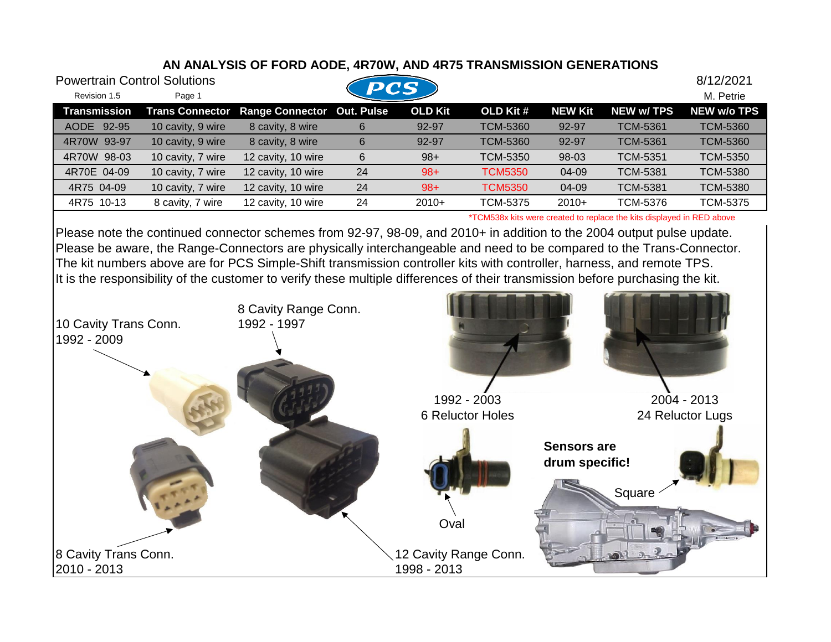## **AN ANALYSIS OF FORD AODE, 4R70W, AND 4R75 TRANSMISSION GENERATIONS**

| <b>Powertrain Control Solutions</b> |                        |                        | <b>PCS</b> |         |                 |                |                   | 8/12/2021          |
|-------------------------------------|------------------------|------------------------|------------|---------|-----------------|----------------|-------------------|--------------------|
| Revision 1.5                        | Page 1                 |                        |            |         |                 |                |                   | M. Petrie          |
| Transmission                        | <b>Trans Connector</b> | <b>Range Connector</b> | Out. Pulse | OLD Kit | OLD Kit #       | <b>NEW Kit</b> | <b>NEW w/ TPS</b> | <b>NEW w/o TPS</b> |
| AODE 92-95                          | 10 cavity, 9 wire      | 8 cavity, 8 wire       | 6          | 92-97   | <b>TCM-5360</b> | 92-97          | <b>TCM-5361</b>   | <b>TCM-5360</b>    |
| 4R70W 93-97                         | 10 cavity, 9 wire      | 8 cavity, 8 wire       | 6          | 92-97   | <b>TCM-5360</b> | 92-97          | <b>TCM-5361</b>   | <b>TCM-5360</b>    |
| 4R70W 98-03                         | 10 cavity, 7 wire      | 12 cavity, 10 wire     | 6          | $98+$   | <b>TCM-5350</b> | 98-03          | <b>TCM-5351</b>   | <b>TCM-5350</b>    |
| 4R70E 04-09                         | 10 cavity, 7 wire      | 12 cavity, 10 wire     | 24         | $98+$   | <b>TCM5350</b>  | 04-09          | <b>TCM-5381</b>   | <b>TCM-5380</b>    |
| 4R75 04-09                          | 10 cavity, 7 wire      | 12 cavity, 10 wire     | 24         | $98+$   | <b>TCM5350</b>  | 04-09          | <b>TCM-5381</b>   | <b>TCM-5380</b>    |
| 4R75 10-13                          | 8 cavity, 7 wire       | 12 cavity, 10 wire     | 24         | $2010+$ | <b>TCM-5375</b> | $2010+$        | TCM-5376          | <b>TCM-5375</b>    |
|                                     |                        |                        |            |         |                 |                |                   |                    |

\*TCM538x kits were created to replace the kits displayed in RED above

Please note the continued connector schemes from 92-97, 98-09, and 2010+ in addition to the 2004 output pulse update. Please be aware, the Range-Connectors are physically interchangeable and need to be compared to the Trans-Connector. The kit numbers above are for PCS Simple-Shift transmission controller kits with controller, harness, and remote TPS. It is the responsibility of the customer to verify these multiple differences of their transmission before purchasing the kit.

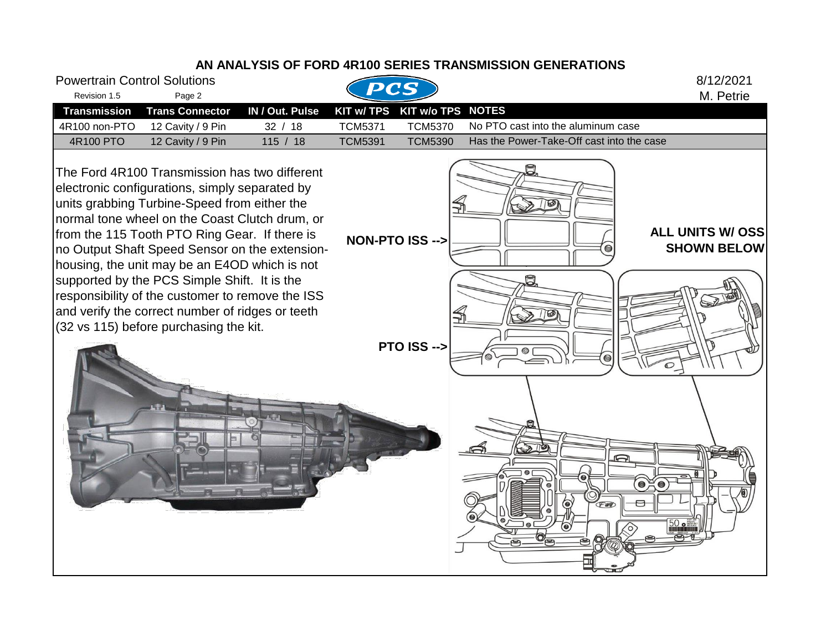## **AN ANALYSIS OF FORD 4R100 SERIES TRANSMISSION GENERATIONS** Powertrain Control Solutions 8/12/2021 Revision 1.5 Page 2 Page 2 M. Petrie **Transmission Trans Connector IN / Out. Pulse KIT w/ TPS KIT w/o TPS NOTES** 4R100 non-PTO 12 Cavity / 9 Pin 32 / 18 TCM5371 TCM5370 No PTO cast into the aluminum case 4R100 PTO 12 Cavity / 9 Pin 115 / 18 TCM5391 TCM5390 Has the Power-Take-Off cast into the case The Ford 4R100 Transmission has two different electronic configurations, simply separated by units grabbing Turbine-Speed from either the normal tone wheel on the Coast Clutch drum, or **ALL UNITS W/ OSS**  from the 115 Tooth PTO Ring Gear. If there is **SHOWN BELOW NON-PTO ISS --> .** no Output Shaft Speed Sensor on the extensionhousing, the unit may be an E4OD which is not supported by the PCS Simple Shift. It is the responsibility of the customer to remove the ISS and verify the correct number of ridges or teeth 160 (32 vs 115) before purchasing the kit. **PTO ISS --> .** $\bullet$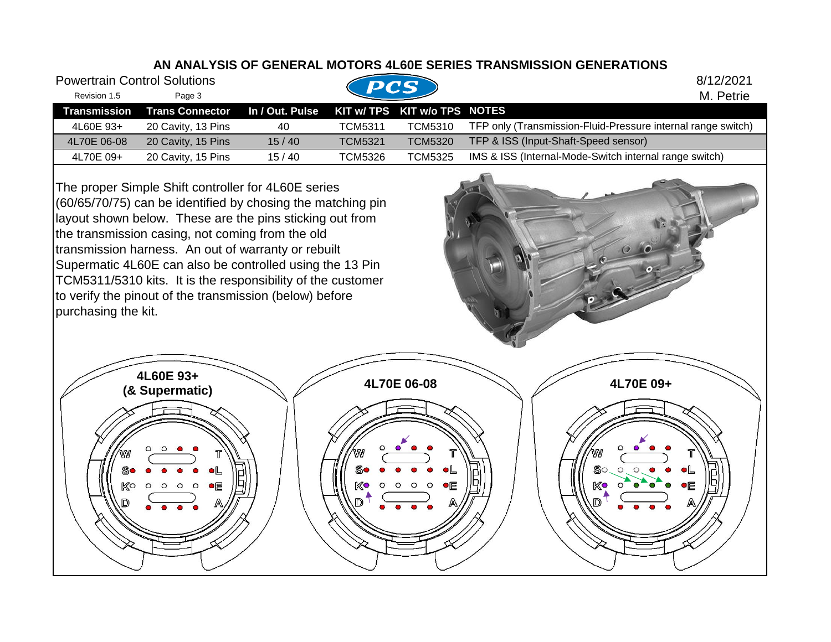## **AN ANALYSIS OF GENERAL MOTORS 4L60E SERIES TRANSMISSION GENERATIONS**

| <b>Powertrain Control Solutions</b> |                                                                                        |                 | PCS            |                              | 8/12/2021                                                    |
|-------------------------------------|----------------------------------------------------------------------------------------|-----------------|----------------|------------------------------|--------------------------------------------------------------|
| Revision 1.5                        | Page 3                                                                                 |                 |                |                              | M. Petrie                                                    |
| <b>Transmission</b>                 | <b>Trans Connector</b>                                                                 | In / Out. Pulse |                | KIT w/ TPS KIT w/o TPS NOTES |                                                              |
| 4L60E 93+                           | 20 Cavity, 13 Pins                                                                     | 40              | <b>TCM5311</b> | <b>TCM5310</b>               | TFP only (Transmission-Fluid-Pressure internal range switch) |
| 4L70E 06-08                         | 20 Cavity, 15 Pins                                                                     | 15/40           | <b>TCM5321</b> | <b>TCM5320</b>               | TFP & ISS (Input-Shaft-Speed sensor)                         |
| 4L70E 09+                           | 20 Cavity, 15 Pins                                                                     | 15/40           | <b>TCM5326</b> | <b>TCM5325</b>               | IMS & ISS (Internal-Mode-Switch internal range switch)       |
|                                     | The proper Simple Shift controller for 4L60E series<br>$(0.0 \times 10^{-1} \pi)^{-1}$ |                 |                |                              |                                                              |

(60/65/70/75) can be identified by chosing the matching pin layout shown below. These are the pins sticking out from the transmission casing, not coming from the old transmission harness. An out of warranty or rebuilt Supermatic 4L60E can also be controlled using the 13 Pin TCM5311/5310 kits. It is the responsibility of the customer to verify the pinout of the transmission (below) before purchasing the kit.

**4L60E 93+ (& Supermatic) 4L70E 06-08 4L70E 09+**